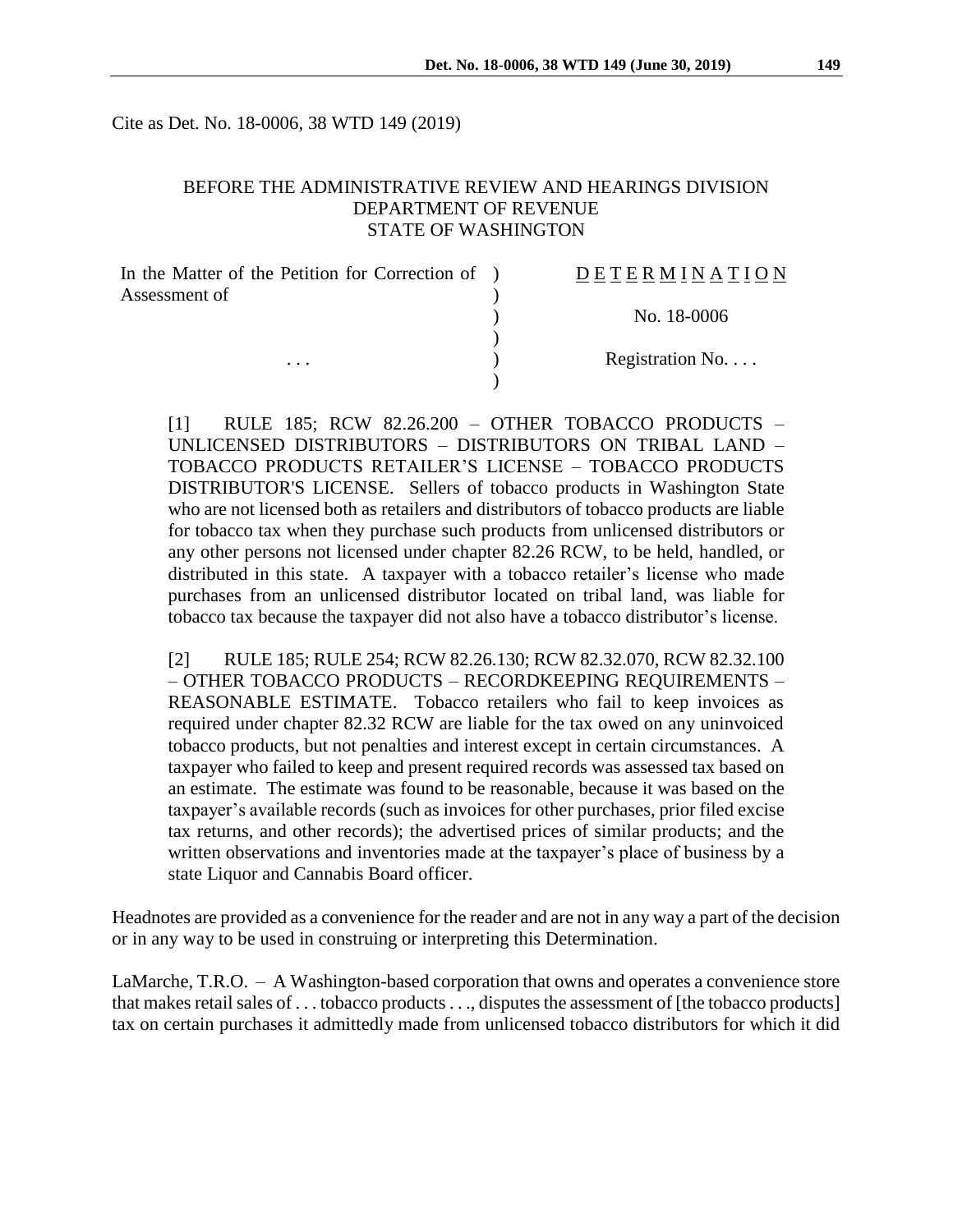Cite as Det. No. 18-0006, 38 WTD 149 (2019)

### BEFORE THE ADMINISTRATIVE REVIEW AND HEARINGS DIVISION DEPARTMENT OF REVENUE STATE OF WASHINGTON

| In the Matter of the Petition for Correction of ) | <b>DETERMINATION</b> |
|---------------------------------------------------|----------------------|
| Assessment of                                     | No. 18-0006          |
| $\cdot$                                           |                      |
|                                                   | Registration No      |
|                                                   |                      |

[1] RULE 185; RCW 82.26.200 – OTHER TOBACCO PRODUCTS – UNLICENSED DISTRIBUTORS – DISTRIBUTORS ON TRIBAL LAND – TOBACCO PRODUCTS RETAILER'S LICENSE – TOBACCO PRODUCTS DISTRIBUTOR'S LICENSE. Sellers of tobacco products in Washington State who are not licensed both as retailers and distributors of tobacco products are liable for tobacco tax when they purchase such products from unlicensed distributors or any other persons not licensed under chapter 82.26 RCW, to be held, handled, or distributed in this state. A taxpayer with a tobacco retailer's license who made purchases from an unlicensed distributor located on tribal land, was liable for tobacco tax because the taxpayer did not also have a tobacco distributor's license.

[2] RULE 185; RULE 254; RCW 82.26.130; RCW 82.32.070, RCW 82.32.100 – OTHER TOBACCO PRODUCTS – RECORDKEEPING REQUIREMENTS – REASONABLE ESTIMATE. Tobacco retailers who fail to keep invoices as required under chapter 82.32 RCW are liable for the tax owed on any uninvoiced tobacco products, but not penalties and interest except in certain circumstances. A taxpayer who failed to keep and present required records was assessed tax based on an estimate. The estimate was found to be reasonable, because it was based on the taxpayer's available records (such as invoices for other purchases, prior filed excise tax returns, and other records); the advertised prices of similar products; and the written observations and inventories made at the taxpayer's place of business by a state Liquor and Cannabis Board officer.

Headnotes are provided as a convenience for the reader and are not in any way a part of the decision or in any way to be used in construing or interpreting this Determination.

LaMarche, T.R.O. – A Washington-based corporation that owns and operates a convenience store that makes retail sales of . . . tobacco products. . ., disputes the assessment of [the tobacco products] tax on certain purchases it admittedly made from unlicensed tobacco distributors for which it did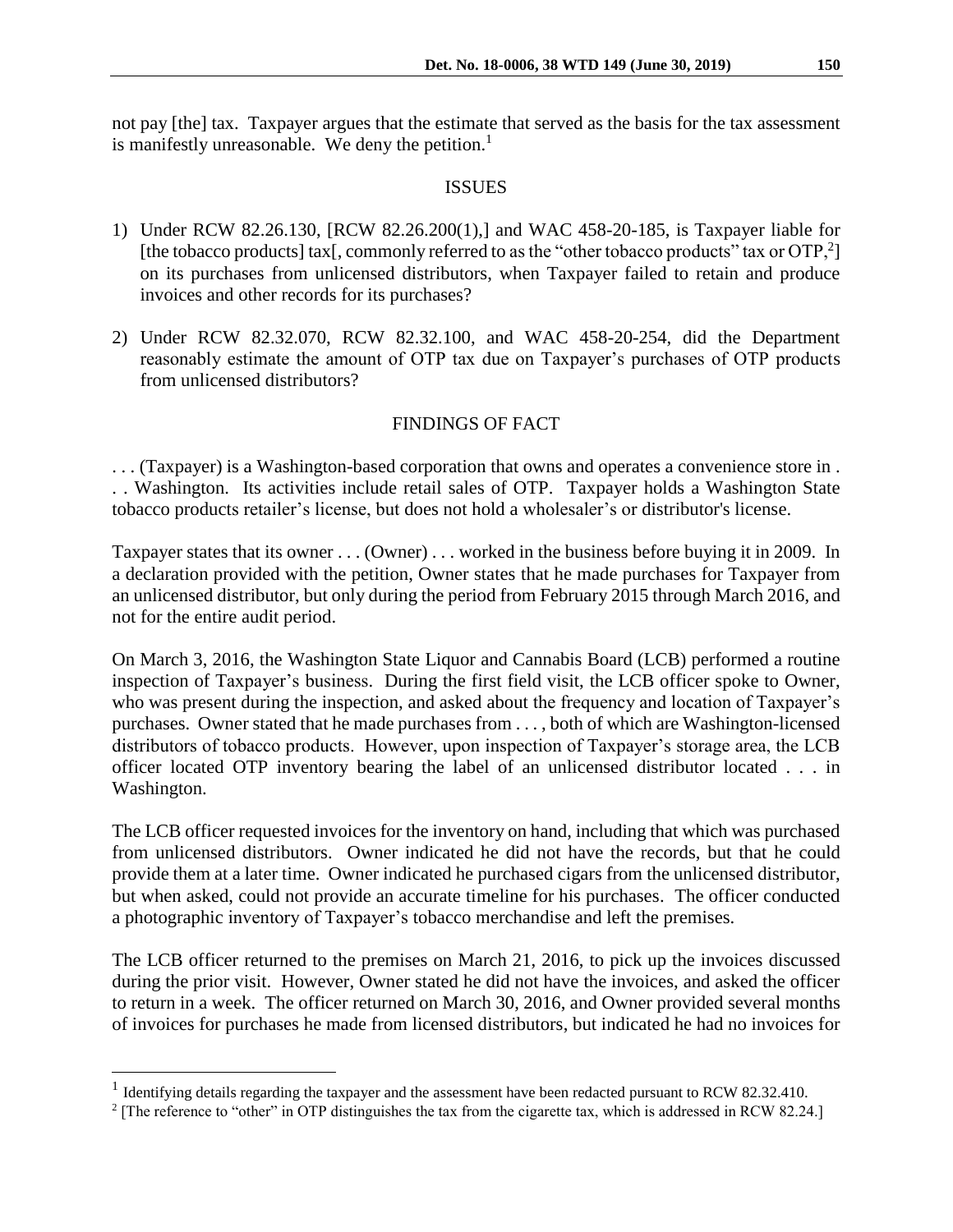not pay [the] tax. Taxpayer argues that the estimate that served as the basis for the tax assessment is manifestly unreasonable. We deny the petition. $<sup>1</sup>$ </sup>

#### ISSUES

- 1) Under RCW 82.26.130, [RCW 82.26.200(1),] and WAC 458-20-185, is Taxpayer liable for [the tobacco products] tax[, commonly referred to as the "other tobacco products" tax or  $\text{OTP},^2$ ] on its purchases from unlicensed distributors, when Taxpayer failed to retain and produce invoices and other records for its purchases?
- 2) Under RCW 82.32.070, RCW 82.32.100, and WAC 458-20-254, did the Department reasonably estimate the amount of OTP tax due on Taxpayer's purchases of OTP products from unlicensed distributors?

# FINDINGS OF FACT

. . . (Taxpayer) is a Washington-based corporation that owns and operates a convenience store in . . . Washington. Its activities include retail sales of OTP. Taxpayer holds a Washington State tobacco products retailer's license, but does not hold a wholesaler's or distributor's license.

Taxpayer states that its owner . . . (Owner) . . . worked in the business before buying it in 2009. In a declaration provided with the petition, Owner states that he made purchases for Taxpayer from an unlicensed distributor, but only during the period from February 2015 through March 2016, and not for the entire audit period.

On March 3, 2016, the Washington State Liquor and Cannabis Board (LCB) performed a routine inspection of Taxpayer's business. During the first field visit, the LCB officer spoke to Owner, who was present during the inspection, and asked about the frequency and location of Taxpayer's purchases. Owner stated that he made purchases from . . . , both of which are Washington-licensed distributors of tobacco products. However, upon inspection of Taxpayer's storage area, the LCB officer located OTP inventory bearing the label of an unlicensed distributor located . . . in Washington.

The LCB officer requested invoices for the inventory on hand, including that which was purchased from unlicensed distributors. Owner indicated he did not have the records, but that he could provide them at a later time. Owner indicated he purchased cigars from the unlicensed distributor, but when asked, could not provide an accurate timeline for his purchases. The officer conducted a photographic inventory of Taxpayer's tobacco merchandise and left the premises.

The LCB officer returned to the premises on March 21, 2016, to pick up the invoices discussed during the prior visit. However, Owner stated he did not have the invoices, and asked the officer to return in a week. The officer returned on March 30, 2016, and Owner provided several months of invoices for purchases he made from licensed distributors, but indicated he had no invoices for

 $\overline{a}$ 

<sup>&</sup>lt;sup>1</sup> Identifying details regarding the taxpayer and the assessment have been redacted pursuant to RCW 82.32.410.

<sup>&</sup>lt;sup>2</sup> [The reference to "other" in OTP distinguishes the tax from the cigarette tax, which is addressed in RCW 82.24.]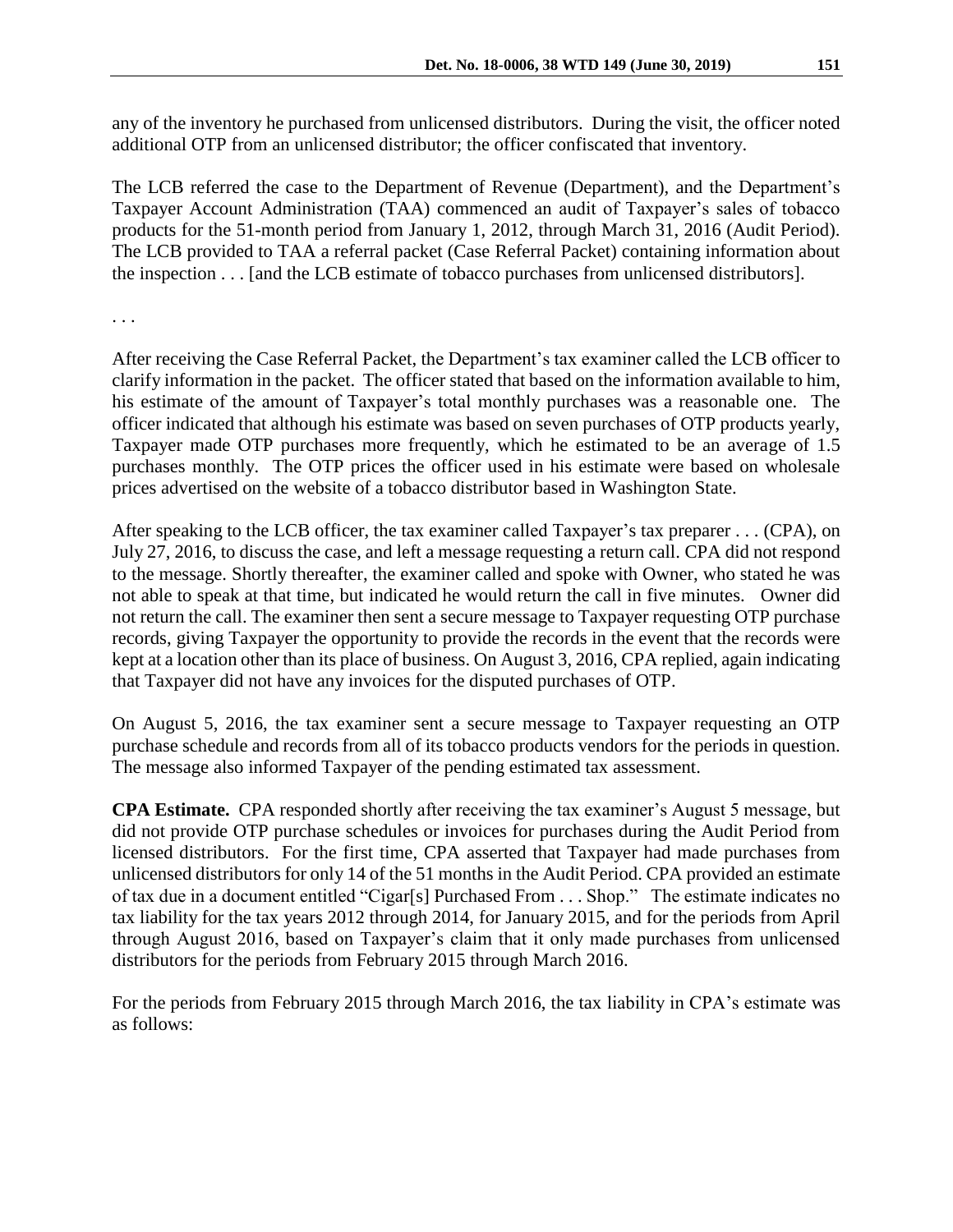any of the inventory he purchased from unlicensed distributors. During the visit, the officer noted additional OTP from an unlicensed distributor; the officer confiscated that inventory.

The LCB referred the case to the Department of Revenue (Department), and the Department's Taxpayer Account Administration (TAA) commenced an audit of Taxpayer's sales of tobacco products for the 51-month period from January 1, 2012, through March 31, 2016 (Audit Period). The LCB provided to TAA a referral packet (Case Referral Packet) containing information about the inspection . . . [and the LCB estimate of tobacco purchases from unlicensed distributors].

. . .

After receiving the Case Referral Packet, the Department's tax examiner called the LCB officer to clarify information in the packet. The officer stated that based on the information available to him, his estimate of the amount of Taxpayer's total monthly purchases was a reasonable one. The officer indicated that although his estimate was based on seven purchases of OTP products yearly, Taxpayer made OTP purchases more frequently, which he estimated to be an average of 1.5 purchases monthly. The OTP prices the officer used in his estimate were based on wholesale prices advertised on the website of a tobacco distributor based in Washington State.

After speaking to the LCB officer, the tax examiner called Taxpayer's tax preparer . . . (CPA), on July 27, 2016, to discuss the case, and left a message requesting a return call. CPA did not respond to the message. Shortly thereafter, the examiner called and spoke with Owner, who stated he was not able to speak at that time, but indicated he would return the call in five minutes. Owner did not return the call. The examiner then sent a secure message to Taxpayer requesting OTP purchase records, giving Taxpayer the opportunity to provide the records in the event that the records were kept at a location other than its place of business. On August 3, 2016, CPA replied, again indicating that Taxpayer did not have any invoices for the disputed purchases of OTP.

On August 5, 2016, the tax examiner sent a secure message to Taxpayer requesting an OTP purchase schedule and records from all of its tobacco products vendors for the periods in question. The message also informed Taxpayer of the pending estimated tax assessment.

**CPA Estimate.** CPA responded shortly after receiving the tax examiner's August 5 message, but did not provide OTP purchase schedules or invoices for purchases during the Audit Period from licensed distributors. For the first time, CPA asserted that Taxpayer had made purchases from unlicensed distributors for only 14 of the 51 months in the Audit Period. CPA provided an estimate of tax due in a document entitled "Cigar[s] Purchased From . . . Shop." The estimate indicates no tax liability for the tax years 2012 through 2014, for January 2015, and for the periods from April through August 2016, based on Taxpayer's claim that it only made purchases from unlicensed distributors for the periods from February 2015 through March 2016.

For the periods from February 2015 through March 2016, the tax liability in CPA's estimate was as follows: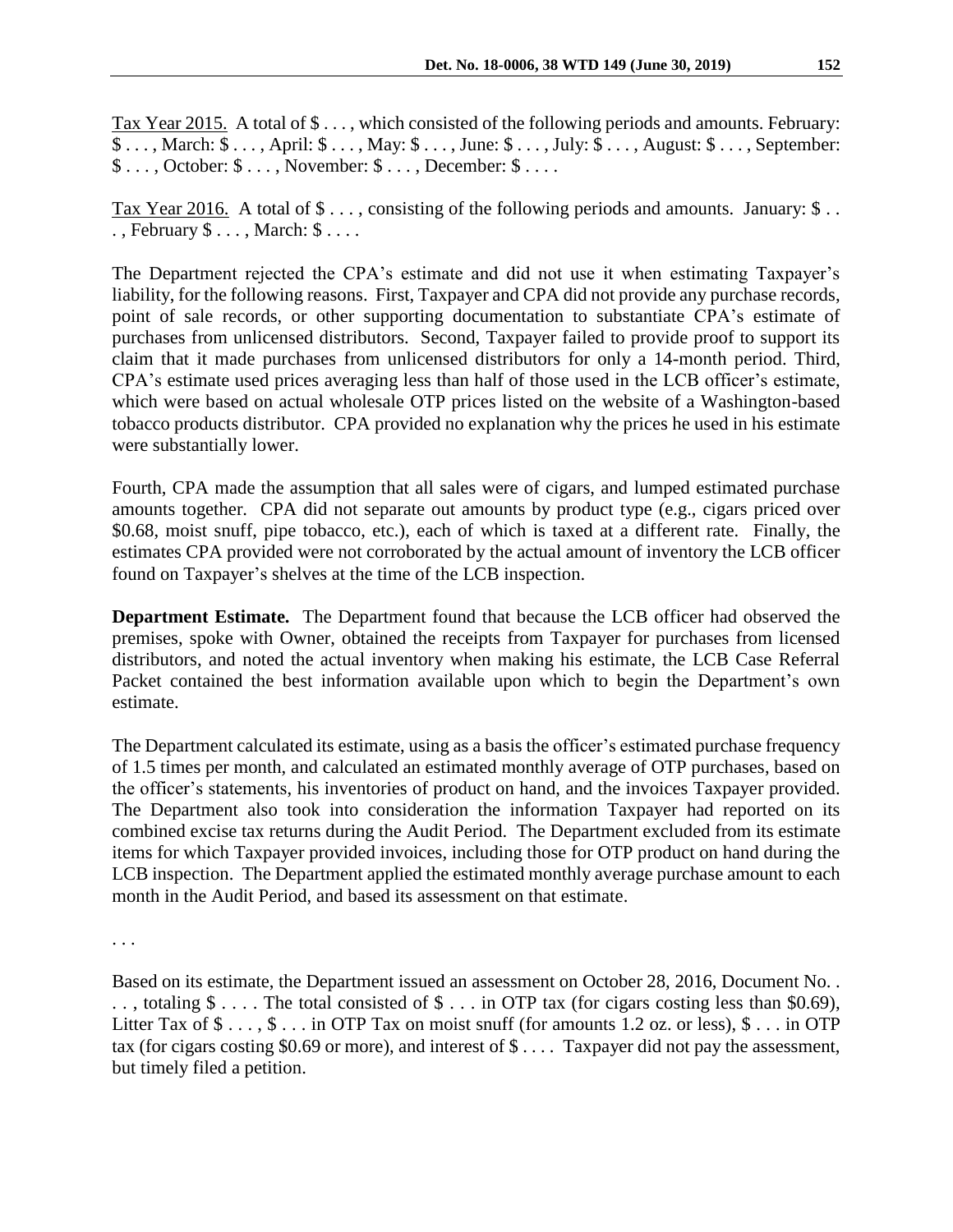Tax Year 2015.A total of \$ . . . , which consisted of the following periods and amounts. February: \$ . . . , March: \$ . . . , April: \$ . . . , May: \$ . . . , June: \$ . . . , July: \$ . . . , August: \$ . . . , September: \$ . . . , October: \$ . . . , November: \$ . . . , December: \$ . . . .

Tax Year 2016. A total of  $\$\dots$ , consisting of the following periods and amounts. January:  $\$\dots$ . , February \$ . . . , March: \$ . . . .

The Department rejected the CPA's estimate and did not use it when estimating Taxpayer's liability, for the following reasons. First, Taxpayer and CPA did not provide any purchase records, point of sale records, or other supporting documentation to substantiate CPA's estimate of purchases from unlicensed distributors. Second, Taxpayer failed to provide proof to support its claim that it made purchases from unlicensed distributors for only a 14-month period. Third, CPA's estimate used prices averaging less than half of those used in the LCB officer's estimate, which were based on actual wholesale OTP prices listed on the website of a Washington-based tobacco products distributor. CPA provided no explanation why the prices he used in his estimate were substantially lower.

Fourth, CPA made the assumption that all sales were of cigars, and lumped estimated purchase amounts together. CPA did not separate out amounts by product type (e.g., cigars priced over \$0.68, moist snuff, pipe tobacco, etc.), each of which is taxed at a different rate. Finally, the estimates CPA provided were not corroborated by the actual amount of inventory the LCB officer found on Taxpayer's shelves at the time of the LCB inspection.

**Department Estimate.** The Department found that because the LCB officer had observed the premises, spoke with Owner, obtained the receipts from Taxpayer for purchases from licensed distributors, and noted the actual inventory when making his estimate, the LCB Case Referral Packet contained the best information available upon which to begin the Department's own estimate.

The Department calculated its estimate, using as a basis the officer's estimated purchase frequency of 1.5 times per month, and calculated an estimated monthly average of OTP purchases, based on the officer's statements, his inventories of product on hand, and the invoices Taxpayer provided. The Department also took into consideration the information Taxpayer had reported on its combined excise tax returns during the Audit Period. The Department excluded from its estimate items for which Taxpayer provided invoices, including those for OTP product on hand during the LCB inspection. The Department applied the estimated monthly average purchase amount to each month in the Audit Period, and based its assessment on that estimate.

. . .

Based on its estimate, the Department issued an assessment on October 28, 2016, Document No. . . . , totaling \$ . . . . The total consisted of \$ . . . in OTP tax (for cigars costing less than \$0.69), Litter Tax of  $\$\ldots$ ,  $\$\ldots$  in OTP Tax on moist snuff (for amounts 1.2 oz. or less),  $\$\ldots$  in OTP tax (for cigars costing \$0.69 or more), and interest of \$ . . . . Taxpayer did not pay the assessment, but timely filed a petition.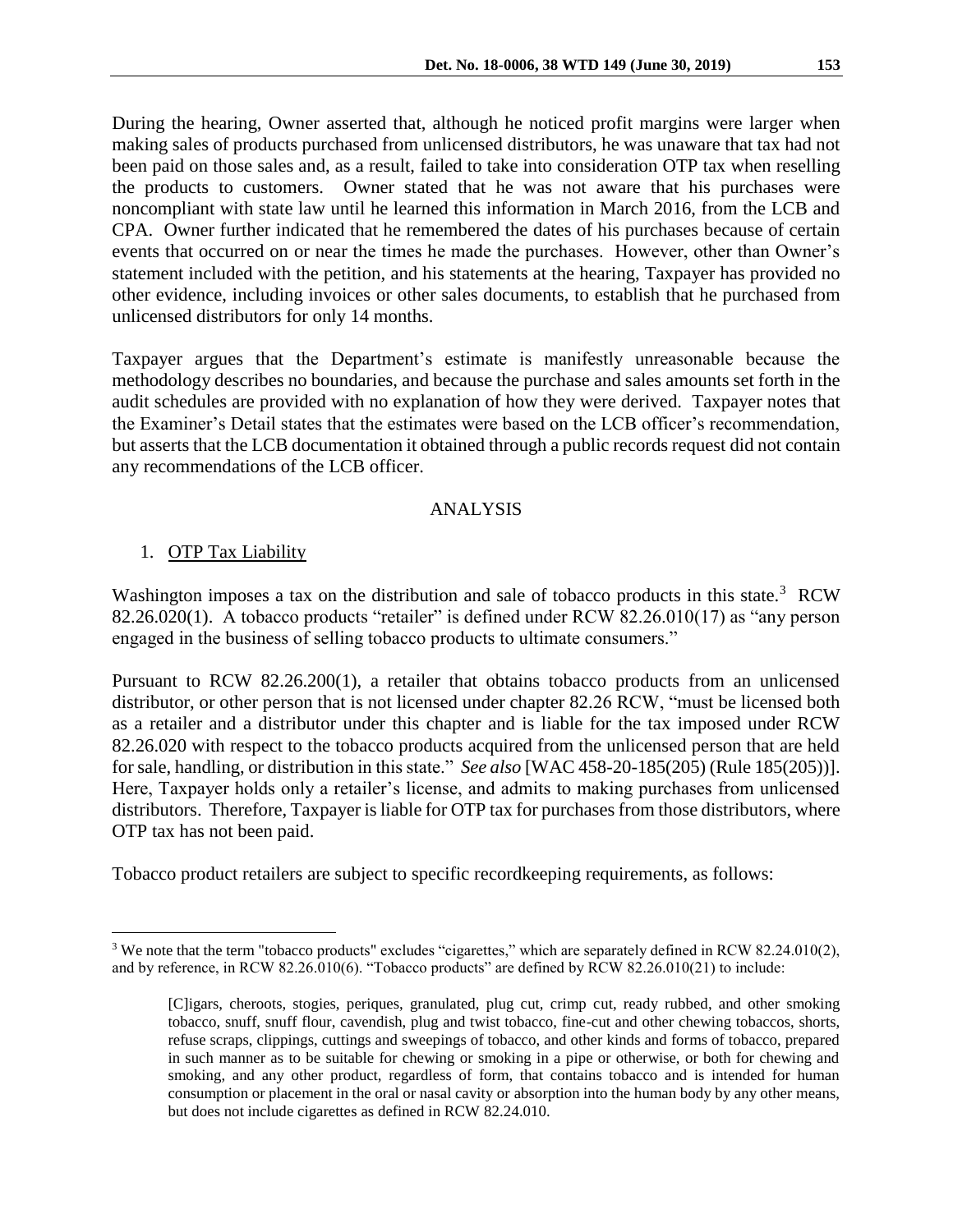During the hearing, Owner asserted that, although he noticed profit margins were larger when making sales of products purchased from unlicensed distributors, he was unaware that tax had not been paid on those sales and, as a result, failed to take into consideration OTP tax when reselling the products to customers. Owner stated that he was not aware that his purchases were noncompliant with state law until he learned this information in March 2016, from the LCB and CPA. Owner further indicated that he remembered the dates of his purchases because of certain

events that occurred on or near the times he made the purchases. However, other than Owner's statement included with the petition, and his statements at the hearing, Taxpayer has provided no other evidence, including invoices or other sales documents, to establish that he purchased from unlicensed distributors for only 14 months.

Taxpayer argues that the Department's estimate is manifestly unreasonable because the methodology describes no boundaries, and because the purchase and sales amounts set forth in the audit schedules are provided with no explanation of how they were derived. Taxpayer notes that the Examiner's Detail states that the estimates were based on the LCB officer's recommendation, but asserts that the LCB documentation it obtained through a public records request did not contain any recommendations of the LCB officer.

## ANALYSIS

## 1. OTP Tax Liability

 $\overline{a}$ 

Washington imposes a tax on the distribution and sale of tobacco products in this state.<sup>3</sup> RCW 82.26.020(1). A tobacco products "retailer" is defined under RCW 82.26.010(17) as "any person engaged in the business of selling tobacco products to ultimate consumers."

Pursuant to RCW 82.26.200(1), a retailer that obtains tobacco products from an unlicensed distributor, or other person that is not licensed under chapter 82.26 RCW, "must be licensed both as a retailer and a distributor under this chapter and is liable for the tax imposed under RCW 82.26.020 with respect to the tobacco products acquired from the unlicensed person that are held for sale, handling, or distribution in this state." *See also* [WAC 458-20-185(205) (Rule 185(205))]. Here, Taxpayer holds only a retailer's license, and admits to making purchases from unlicensed distributors. Therefore, Taxpayer is liable for OTP tax for purchases from those distributors, where OTP tax has not been paid.

Tobacco product retailers are subject to specific recordkeeping requirements, as follows:

<sup>&</sup>lt;sup>3</sup> We note that the term "tobacco products" excludes "cigarettes," which are separately defined in RCW 82.24.010(2), and by reference, in RCW 82.26.010(6). "Tobacco products" are defined by RCW 82.26.010(21) to include:

<sup>[</sup>C]igars, cheroots, stogies, periques, granulated, plug cut, crimp cut, ready rubbed, and other smoking tobacco, snuff, snuff flour, cavendish, plug and twist tobacco, fine-cut and other chewing tobaccos, shorts, refuse scraps, clippings, cuttings and sweepings of tobacco, and other kinds and forms of tobacco, prepared in such manner as to be suitable for chewing or smoking in a pipe or otherwise, or both for chewing and smoking, and any other product, regardless of form, that contains tobacco and is intended for human consumption or placement in the oral or nasal cavity or absorption into the human body by any other means, but does not include cigarettes as defined in RCW 82.24.010.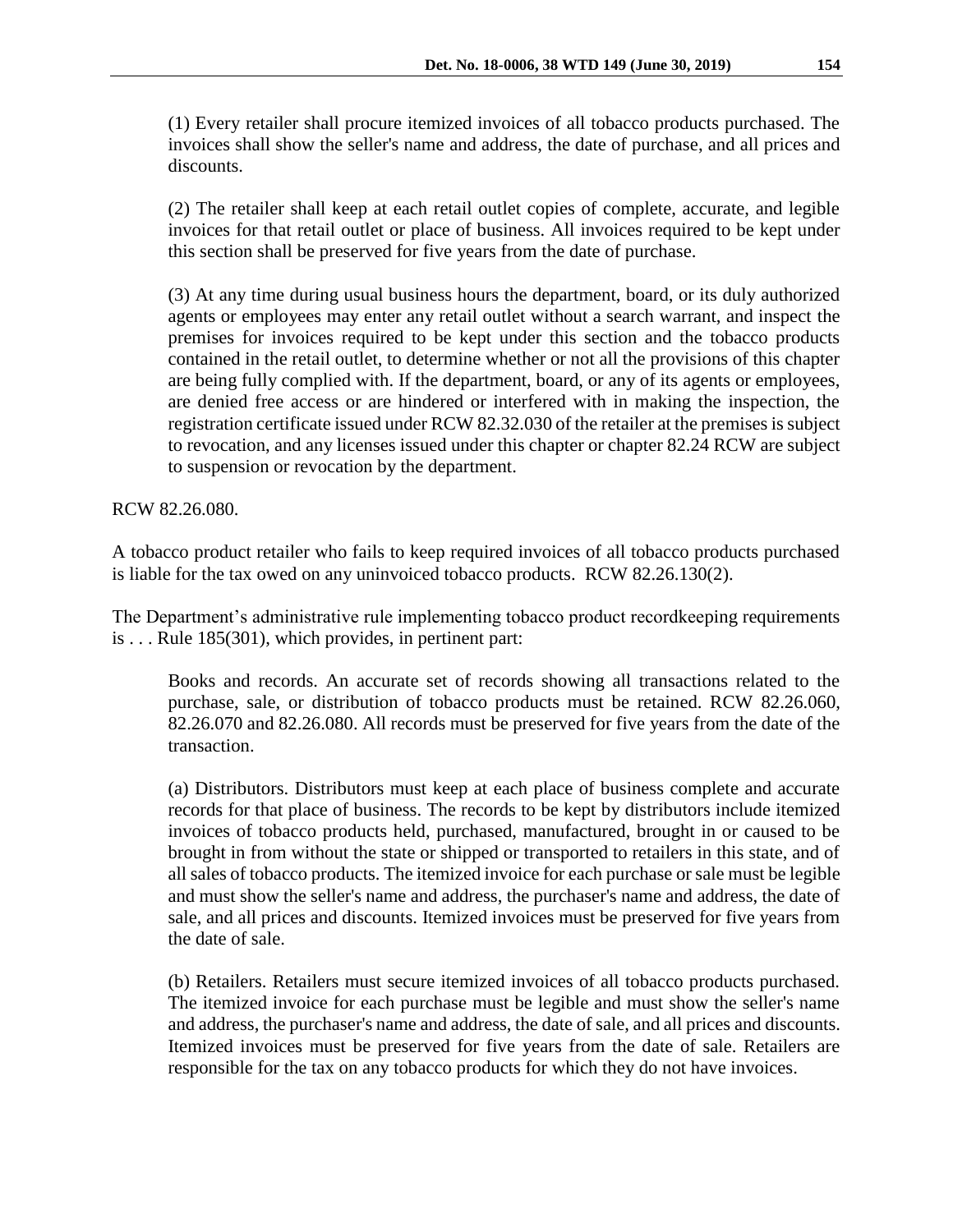(1) Every retailer shall procure itemized invoices of all tobacco products purchased. The invoices shall show the seller's name and address, the date of purchase, and all prices and discounts.

(2) The retailer shall keep at each retail outlet copies of complete, accurate, and legible invoices for that retail outlet or place of business. All invoices required to be kept under this section shall be preserved for five years from the date of purchase.

(3) At any time during usual business hours the department, board, or its duly authorized agents or employees may enter any retail outlet without a search warrant, and inspect the premises for invoices required to be kept under this section and the tobacco products contained in the retail outlet, to determine whether or not all the provisions of this chapter are being fully complied with. If the department, board, or any of its agents or employees, are denied free access or are hindered or interfered with in making the inspection, the registration certificate issued under RCW 82.32.030 of the retailer at the premises is subject to revocation, and any licenses issued under this chapter or chapter 82.24 RCW are subject to suspension or revocation by the department.

RCW 82.26.080.

A tobacco product retailer who fails to keep required invoices of all tobacco products purchased is liable for the tax owed on any uninvoiced tobacco products. RCW 82.26.130(2).

The Department's administrative rule implementing tobacco product recordkeeping requirements is . . . Rule 185(301), which provides, in pertinent part:

Books and records. An accurate set of records showing all transactions related to the purchase, sale, or distribution of tobacco products must be retained. RCW 82.26.060, 82.26.070 and 82.26.080. All records must be preserved for five years from the date of the transaction.

(a) Distributors. Distributors must keep at each place of business complete and accurate records for that place of business. The records to be kept by distributors include itemized invoices of tobacco products held, purchased, manufactured, brought in or caused to be brought in from without the state or shipped or transported to retailers in this state, and of all sales of tobacco products. The itemized invoice for each purchase or sale must be legible and must show the seller's name and address, the purchaser's name and address, the date of sale, and all prices and discounts. Itemized invoices must be preserved for five years from the date of sale.

(b) Retailers. Retailers must secure itemized invoices of all tobacco products purchased. The itemized invoice for each purchase must be legible and must show the seller's name and address, the purchaser's name and address, the date of sale, and all prices and discounts. Itemized invoices must be preserved for five years from the date of sale. Retailers are responsible for the tax on any tobacco products for which they do not have invoices.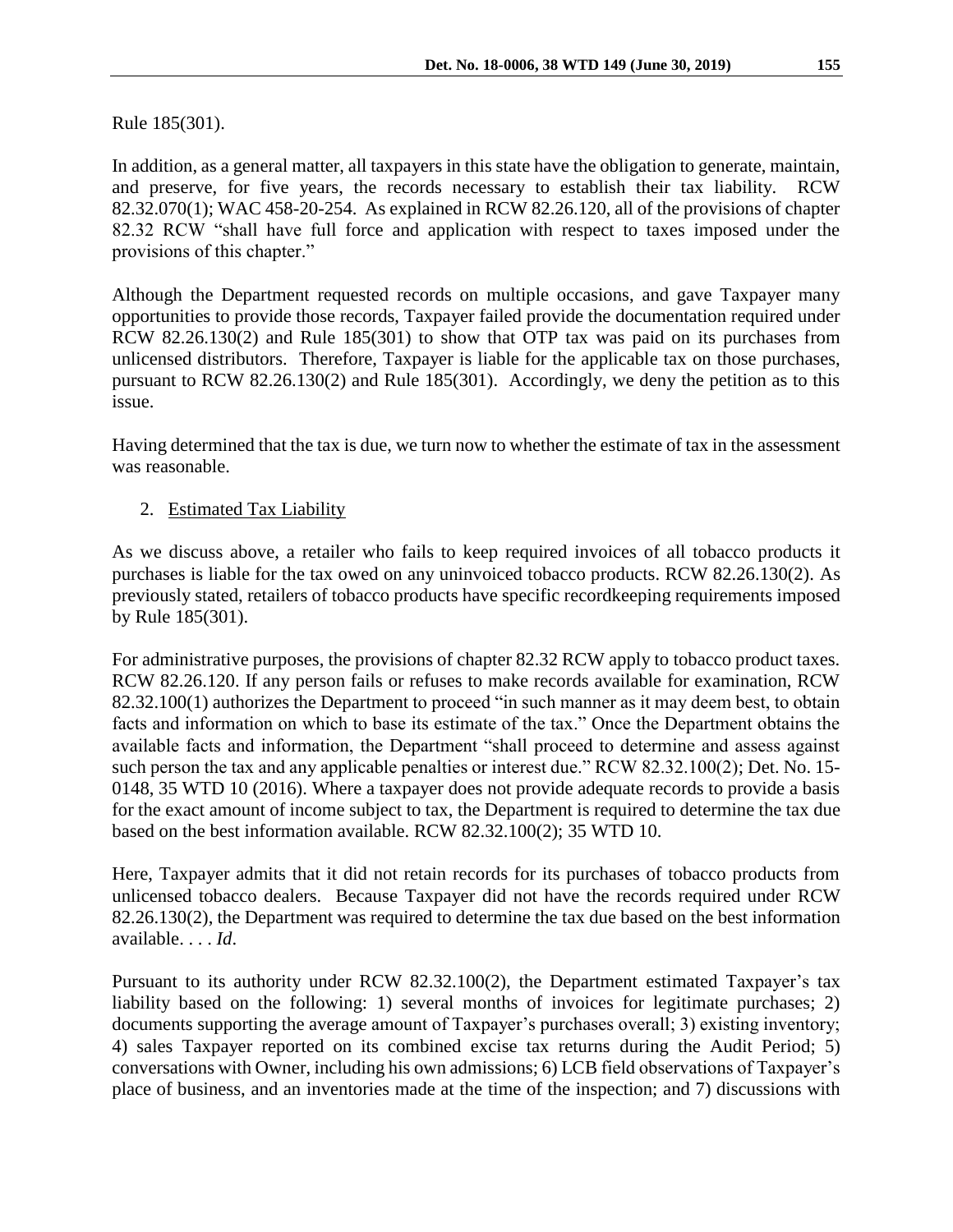Rule 185(301).

In addition, as a general matter, all taxpayers in this state have the obligation to generate, maintain, and preserve, for five years, the records necessary to establish their tax liability. RCW 82.32.070(1); WAC 458-20-254. As explained in RCW 82.26.120, all of the provisions of chapter 82.32 RCW "shall have full force and application with respect to taxes imposed under the provisions of this chapter."

Although the Department requested records on multiple occasions, and gave Taxpayer many opportunities to provide those records, Taxpayer failed provide the documentation required under RCW 82.26.130(2) and Rule 185(301) to show that OTP tax was paid on its purchases from unlicensed distributors. Therefore, Taxpayer is liable for the applicable tax on those purchases, pursuant to RCW 82.26.130(2) and Rule 185(301). Accordingly, we deny the petition as to this issue.

Having determined that the tax is due, we turn now to whether the estimate of tax in the assessment was reasonable.

2. Estimated Tax Liability

As we discuss above, a retailer who fails to keep required invoices of all tobacco products it purchases is liable for the tax owed on any uninvoiced tobacco products. RCW 82.26.130(2). As previously stated, retailers of tobacco products have specific recordkeeping requirements imposed by Rule 185(301).

For administrative purposes, the provisions of chapter 82.32 RCW apply to tobacco product taxes. RCW 82.26.120. If any person fails or refuses to make records available for examination, RCW 82.32.100(1) authorizes the Department to proceed "in such manner as it may deem best, to obtain facts and information on which to base its estimate of the tax." Once the Department obtains the available facts and information, the Department "shall proceed to determine and assess against such person the tax and any applicable penalties or interest due." RCW 82.32.100(2); Det. No. 15- 0148, 35 WTD 10 (2016). Where a taxpayer does not provide adequate records to provide a basis for the exact amount of income subject to tax, the Department is required to determine the tax due based on the best information available. RCW 82.32.100(2); 35 WTD 10.

Here, Taxpayer admits that it did not retain records for its purchases of tobacco products from unlicensed tobacco dealers. Because Taxpayer did not have the records required under RCW 82.26.130(2), the Department was required to determine the tax due based on the best information available. . . . *Id*.

Pursuant to its authority under RCW 82.32.100(2), the Department estimated Taxpayer's tax liability based on the following: 1) several months of invoices for legitimate purchases; 2) documents supporting the average amount of Taxpayer's purchases overall; 3) existing inventory; 4) sales Taxpayer reported on its combined excise tax returns during the Audit Period; 5) conversations with Owner, including his own admissions; 6) LCB field observations of Taxpayer's place of business, and an inventories made at the time of the inspection; and 7) discussions with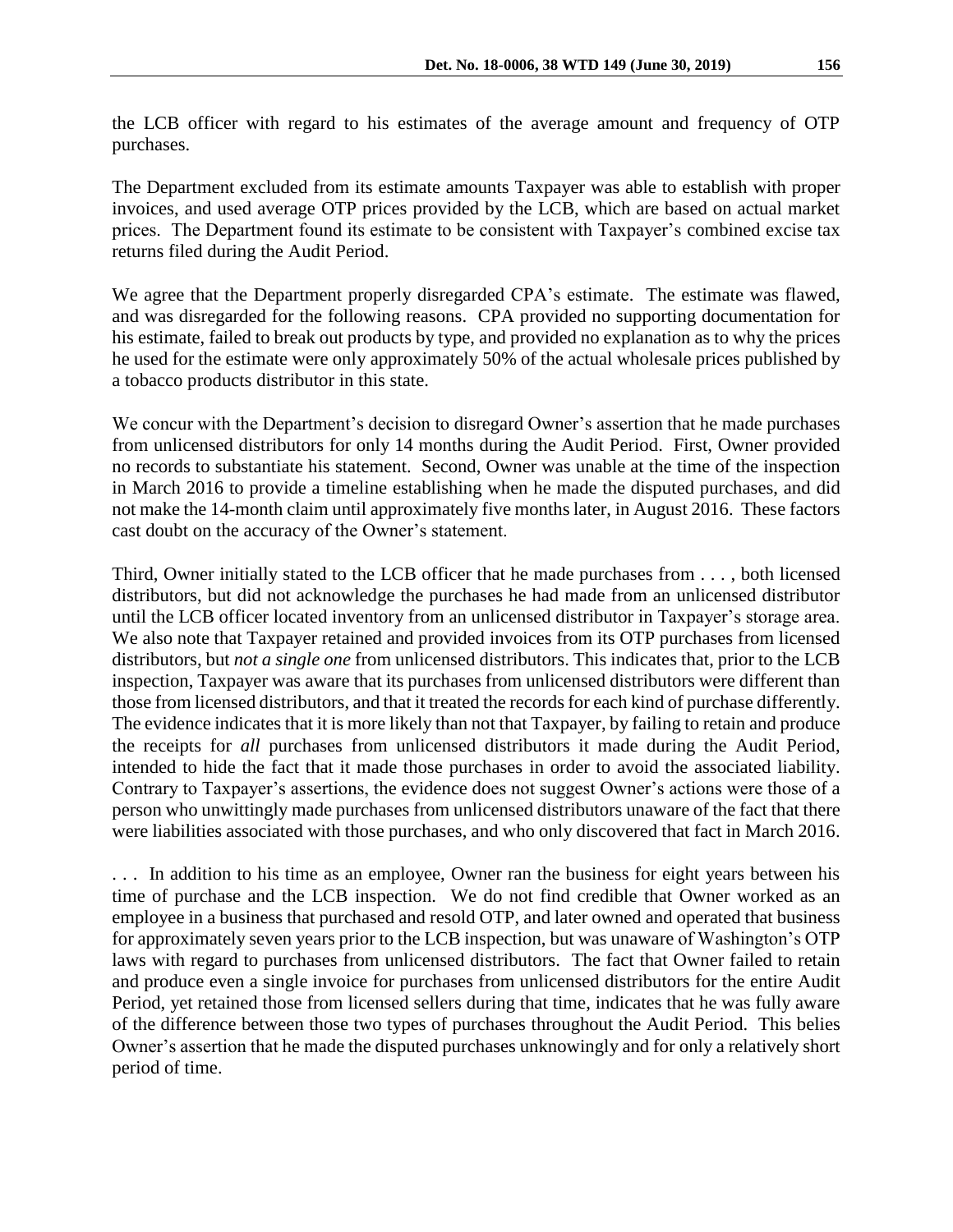the LCB officer with regard to his estimates of the average amount and frequency of OTP purchases.

The Department excluded from its estimate amounts Taxpayer was able to establish with proper invoices, and used average OTP prices provided by the LCB, which are based on actual market prices. The Department found its estimate to be consistent with Taxpayer's combined excise tax returns filed during the Audit Period.

We agree that the Department properly disregarded CPA's estimate. The estimate was flawed, and was disregarded for the following reasons. CPA provided no supporting documentation for his estimate, failed to break out products by type, and provided no explanation as to why the prices he used for the estimate were only approximately 50% of the actual wholesale prices published by a tobacco products distributor in this state.

We concur with the Department's decision to disregard Owner's assertion that he made purchases from unlicensed distributors for only 14 months during the Audit Period. First, Owner provided no records to substantiate his statement. Second, Owner was unable at the time of the inspection in March 2016 to provide a timeline establishing when he made the disputed purchases, and did not make the 14-month claim until approximately five months later, in August 2016. These factors cast doubt on the accuracy of the Owner's statement.

Third, Owner initially stated to the LCB officer that he made purchases from . . . , both licensed distributors, but did not acknowledge the purchases he had made from an unlicensed distributor until the LCB officer located inventory from an unlicensed distributor in Taxpayer's storage area. We also note that Taxpayer retained and provided invoices from its OTP purchases from licensed distributors, but *not a single one* from unlicensed distributors. This indicates that, prior to the LCB inspection, Taxpayer was aware that its purchases from unlicensed distributors were different than those from licensed distributors, and that it treated the records for each kind of purchase differently. The evidence indicates that it is more likely than not that Taxpayer, by failing to retain and produce the receipts for *all* purchases from unlicensed distributors it made during the Audit Period, intended to hide the fact that it made those purchases in order to avoid the associated liability. Contrary to Taxpayer's assertions, the evidence does not suggest Owner's actions were those of a person who unwittingly made purchases from unlicensed distributors unaware of the fact that there were liabilities associated with those purchases, and who only discovered that fact in March 2016.

. . . In addition to his time as an employee, Owner ran the business for eight years between his time of purchase and the LCB inspection. We do not find credible that Owner worked as an employee in a business that purchased and resold OTP, and later owned and operated that business for approximately seven years prior to the LCB inspection, but was unaware of Washington's OTP laws with regard to purchases from unlicensed distributors. The fact that Owner failed to retain and produce even a single invoice for purchases from unlicensed distributors for the entire Audit Period, yet retained those from licensed sellers during that time, indicates that he was fully aware of the difference between those two types of purchases throughout the Audit Period. This belies Owner's assertion that he made the disputed purchases unknowingly and for only a relatively short period of time.